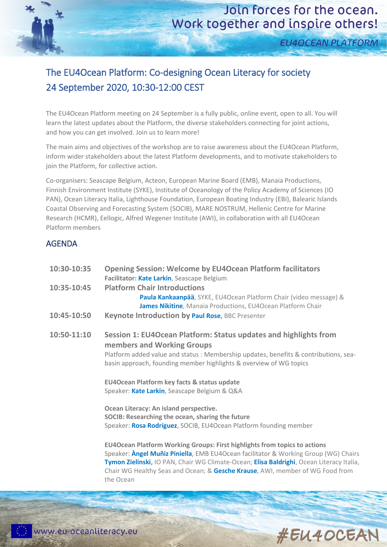**EU4OCEAN PLATFORM** 

## The EU4Ocean Platform: Co-designing Ocean Literacy for society 24 September 2020, 10:30-12:00 CEST

The EU4Ocean Platform meeting on 24 September is a fully public, online event, open to all. You will learn the latest updates about the Platform, the diverse stakeholders connecting for joint actions, and how you can get involved. Join us to learn more!

The main aims and objectives of the workshop are to raise awareness about the EU4Ocean Platform, inform wider stakeholders about the latest Platform developments, and to motivate stakeholders to join the Platform, for collective action.

Co-organisers: Seascape Belgium, Acteon, European Marine Board (EMB), Manaia Productions, Finnish Environment Institute (SYKE), Institute of Oceanology of the Policy Academy of Sciences (IO PAN), Ocean Literacy Italia, Lighthouse Foundation, European Boating Industry (EBI), Balearic Islands Coastal Observing and Forecasting System (SOCIB), MARE NOSTRUM, Hellenic Centre for Marine Research (HCMR), Eellogic, Alfred Wegener Institute (AWI), in collaboration with all EU4Ocean Platform members

## AGENDA

| 10:30-10:35 | <b>Opening Session: Welcome by EU4Ocean Platform facilitators</b><br>Facilitator: Kate Larkin, Seascape Belgium                                                                                                                                                                                                                                                   |
|-------------|-------------------------------------------------------------------------------------------------------------------------------------------------------------------------------------------------------------------------------------------------------------------------------------------------------------------------------------------------------------------|
| 10:35-10:45 | <b>Platform Chair Introductions</b><br>Paula Kankaanpää, SYKE, EU4Ocean Platform Chair (video message) &<br>James Nikitine, Manaia Productions, EU4Ocean Platform Chair                                                                                                                                                                                           |
| 10:45-10:50 | Keynote Introduction by Paul Rose, BBC Presenter                                                                                                                                                                                                                                                                                                                  |
| 10:50-11:10 | Session 1: EU4Ocean Platform: Status updates and highlights from<br>members and Working Groups<br>Platform added value and status : Membership updates, benefits & contributions, sea-<br>basin approach, founding member highlights & overview of WG topics                                                                                                      |
|             | EU4Ocean Platform key facts & status update<br>Speaker: Kate Larkin, Seascape Belgium & Q&A                                                                                                                                                                                                                                                                       |
|             | Ocean Literacy: An island perspective.<br>SOCIB: Researching the ocean, sharing the future<br>Speaker: Rosa Rodríguez, SOCIB, EU4Ocean Platform founding member                                                                                                                                                                                                   |
|             | <b>EU4Ocean Platform Working Groups: First highlights from topics to actions</b><br>Speaker: Angel Muñiz Piniella, EMB EU4Ocean facilitator & Working Group (WG) Chairs<br>Tymon Zielinski, IO PAN, Chair WG Climate-Ocean; Elisa Baldrighi, Ocean Literacy Italia,<br>Chair WG Healthy Seas and Ocean; & Gesche Krause, AWI, member of WG Food from<br>the Ocean |